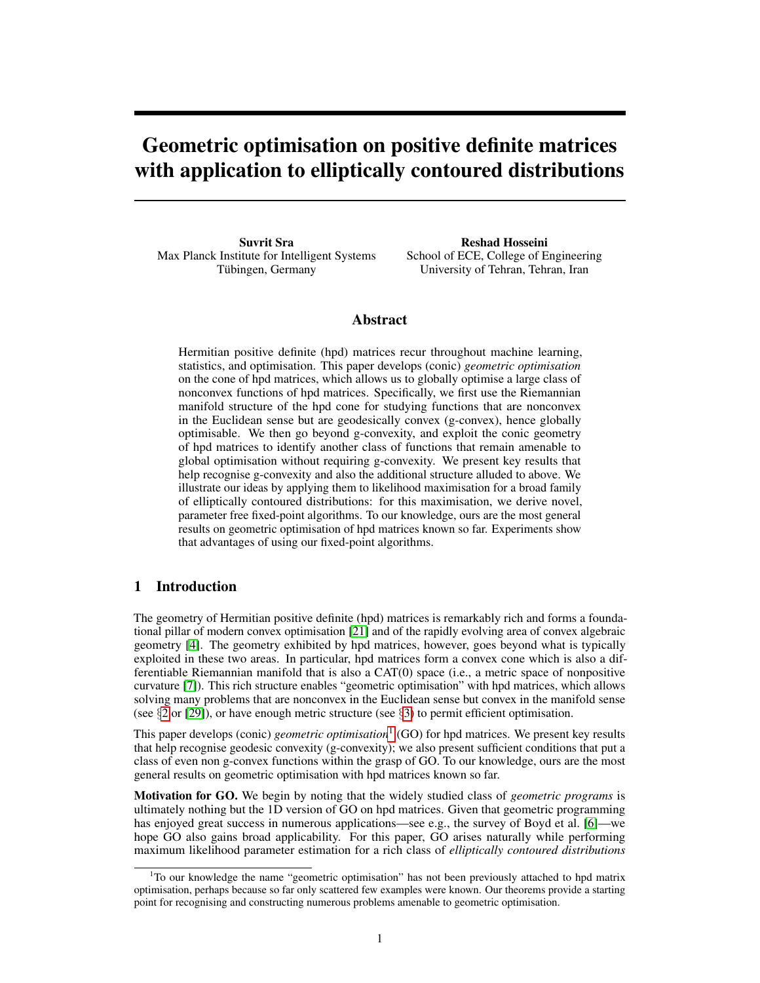# Geometric optimisation on positive definite matrices with application to elliptically contoured distributions

Suvrit Sra Max Planck Institute for Intelligent Systems Tübingen, Germany

Reshad Hosseini School of ECE, College of Engineering University of Tehran, Tehran, Iran

## Abstract

Hermitian positive definite (hpd) matrices recur throughout machine learning, statistics, and optimisation. This paper develops (conic) *geometric optimisation* on the cone of hpd matrices, which allows us to globally optimise a large class of nonconvex functions of hpd matrices. Specifically, we first use the Riemannian manifold structure of the hpd cone for studying functions that are nonconvex in the Euclidean sense but are geodesically convex (g-convex), hence globally optimisable. We then go beyond g-convexity, and exploit the conic geometry of hpd matrices to identify another class of functions that remain amenable to global optimisation without requiring g-convexity. We present key results that help recognise g-convexity and also the additional structure alluded to above. We illustrate our ideas by applying them to likelihood maximisation for a broad family of elliptically contoured distributions: for this maximisation, we derive novel, parameter free fixed-point algorithms. To our knowledge, ours are the most general results on geometric optimisation of hpd matrices known so far. Experiments show that advantages of using our fixed-point algorithms.

### 1 Introduction

The geometry of Hermitian positive definite (hpd) matrices is remarkably rich and forms a foundational pillar of modern convex optimisation [21] and of the rapidly evolving area of convex algebraic geometry [4]. The geometry exhibited by hpd matrices, however, goes beyond what is typically exploited in these two areas. In particular, hpd matrices form a convex cone which is also a differentiable Riemannian manifold that is also a CAT(0) space (i.e., a metric space of nonpositive curvature [7]). This rich structure enables "geometric optimisation" with hpd matrices, which allows solving many problems that are nonconvex in the Euclidean sense but convex in the manifold sense (see  $\S2$  or [29]), or have enough metric structure (see  $\S3$ ) to permit efficient optimisation.

This paper develops (conic) *geometric optimisation*1 (GO) for hpd matrices. We present key results that help recognise geodesic convexity (g-convexity); we also present sufficient conditions that put a class of even non g-convex functions within the grasp of GO. To our knowledge, ours are the most general results on geometric optimisation with hpd matrices known so far.

Motivation for GO. We begin by noting that the widely studied class of *geometric programs* is ultimately nothing but the 1D version of GO on hpd matrices. Given that geometric programming has enjoyed great success in numerous applications—see e.g., the survey of Boyd et al. [6]—we hope GO also gains broad applicability. For this paper, GO arises naturally while performing maximum likelihood parameter estimation for a rich class of *elliptically contoured distributions*

<sup>&</sup>lt;sup>1</sup>To our knowledge the name "geometric optimisation" has not been previously attached to hpd matrix optimisation, perhaps because so far only scattered few examples were known. Our theorems provide a starting point for recognising and constructing numerous problems amenable to geometric optimisation.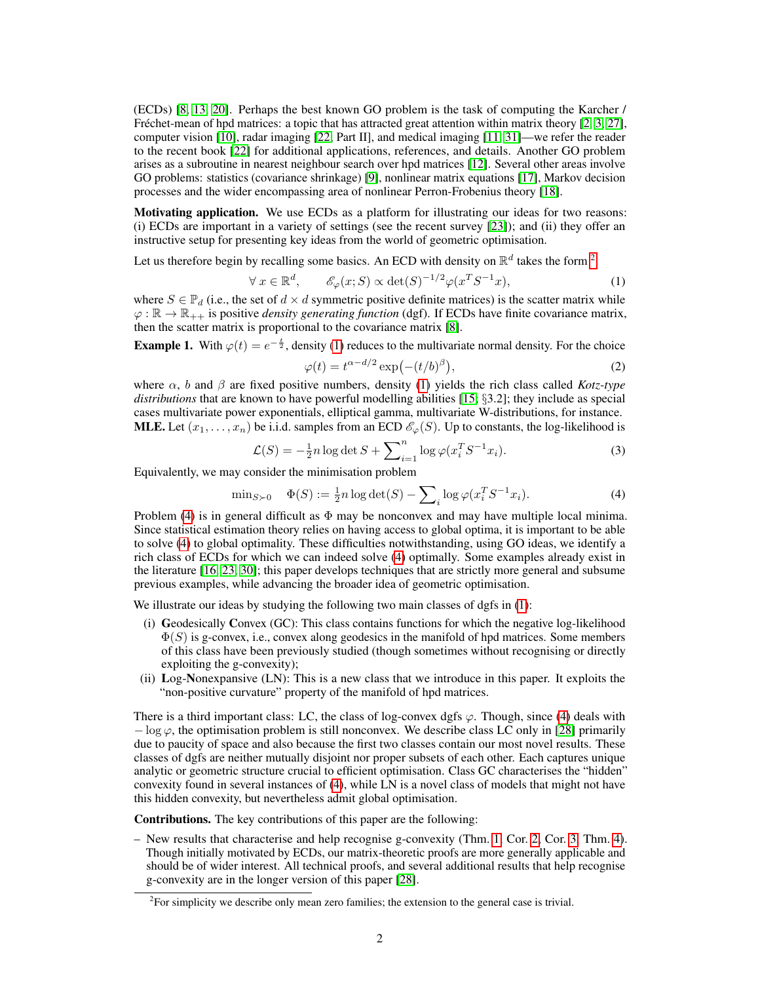(ECDs) [8, 13, 20]. Perhaps the best known GO problem is the task of computing the Karcher / Fréchet-mean of hpd matrices: a topic that has attracted great attention within matrix theory  $[2, 3, 27]$ , computer vision [10], radar imaging [22; Part II], and medical imaging [11, 31]—we refer the reader to the recent book [22] for additional applications, references, and details. Another GO problem arises as a subroutine in nearest neighbour search over hpd matrices [12]. Several other areas involve GO problems: statistics (covariance shrinkage) [9], nonlinear matrix equations [17], Markov decision processes and the wider encompassing area of nonlinear Perron-Frobenius theory [18].

Motivating application. We use ECDs as a platform for illustrating our ideas for two reasons: (i) ECDs are important in a variety of settings (see the recent survey [23]); and (ii) they offer an instructive setup for presenting key ideas from the world of geometric optimisation.

Let us therefore begin by recalling some basics. An ECD with density on  $\mathbb{R}^d$  takes the form <sup>2</sup>

$$
\forall x \in \mathbb{R}^d, \qquad \mathcal{E}_{\varphi}(x;S) \propto \det(S)^{-1/2} \varphi(x^T S^{-1} x), \tag{1}
$$

where  $S \in \mathbb{P}_d$  (i.e., the set of  $d \times d$  symmetric positive definite matrices) is the scatter matrix while  $\varphi : \mathbb{R} \to \mathbb{R}_{++}$  is positive *density generating function* (dgf). If ECDs have finite covariance matrix, then the scatter matrix is proportional to the covariance matrix [8].

**Example 1.** With  $\varphi(t) = e^{-\frac{t}{2}}$ , density (1) reduces to the multivariate normal density. For the choice

$$
\varphi(t) = t^{\alpha - d/2} \exp(-(t/b)^{\beta}),\tag{2}
$$

where  $\alpha$ , b and  $\beta$  are fixed positive numbers, density (1) yields the rich class called *Kotz-type distributions* that are known to have powerful modelling abilities [15; §3.2]; they include as special cases multivariate power exponentials, elliptical gamma, multivariate W-distributions, for instance. **MLE.** Let  $(x_1, \ldots, x_n)$  be i.i.d. samples from an ECD  $\mathcal{E}_{\varphi}(S)$ . Up to constants, the log-likelihood is

$$
\mathcal{L}(S) = -\frac{1}{2}n \log \det S + \sum_{i=1}^{n} \log \varphi(x_i^T S^{-1} x_i).
$$
 (3)

Equivalently, we may consider the minimisation problem

$$
\min_{S \succ 0} \quad \Phi(S) := \frac{1}{2}n \log \det(S) - \sum_{i} \log \varphi(x_i^T S^{-1} x_i). \tag{4}
$$

Problem (4) is in general difficult as  $\Phi$  may be nonconvex and may have multiple local minima. Since statistical estimation theory relies on having access to global optima, it is important to be able to solve (4) to global optimality. These difficulties notwithstanding, using GO ideas, we identify a rich class of ECDs for which we can indeed solve (4) optimally. Some examples already exist in the literature [16, 23, 30]; this paper develops techniques that are strictly more general and subsume previous examples, while advancing the broader idea of geometric optimisation.

We illustrate our ideas by studying the following two main classes of dgfs in (1):

- (i) Geodesically Convex (GC): This class contains functions for which the negative log-likelihood  $\Phi(S)$  is g-convex, i.e., convex along geodesics in the manifold of hpd matrices. Some members of this class have been previously studied (though sometimes without recognising or directly exploiting the g-convexity);
- (ii) Log-Nonexpansive (LN): This is a new class that we introduce in this paper. It exploits the "non-positive curvature" property of the manifold of hpd matrices.

There is a third important class: LC, the class of log-convex dgfs  $\varphi$ . Though, since (4) deals with  $-\log \varphi$ , the optimisation problem is still nonconvex. We describe class LC only in [28] primarily due to paucity of space and also because the first two classes contain our most novel results. These classes of dgfs are neither mutually disjoint nor proper subsets of each other. Each captures unique analytic or geometric structure crucial to efficient optimisation. Class GC characterises the "hidden" convexity found in several instances of (4), while LN is a novel class of models that might not have this hidden convexity, but nevertheless admit global optimisation.

Contributions. The key contributions of this paper are the following:

– New results that characterise and help recognise g-convexity (Thm. 1, Cor. 2, Cor. 3, Thm. 4). Though initially motivated by ECDs, our matrix-theoretic proofs are more generally applicable and should be of wider interest. All technical proofs, and several additional results that help recognise g-convexity are in the longer version of this paper [28].

 $2^2$ For simplicity we describe only mean zero families; the extension to the general case is trivial.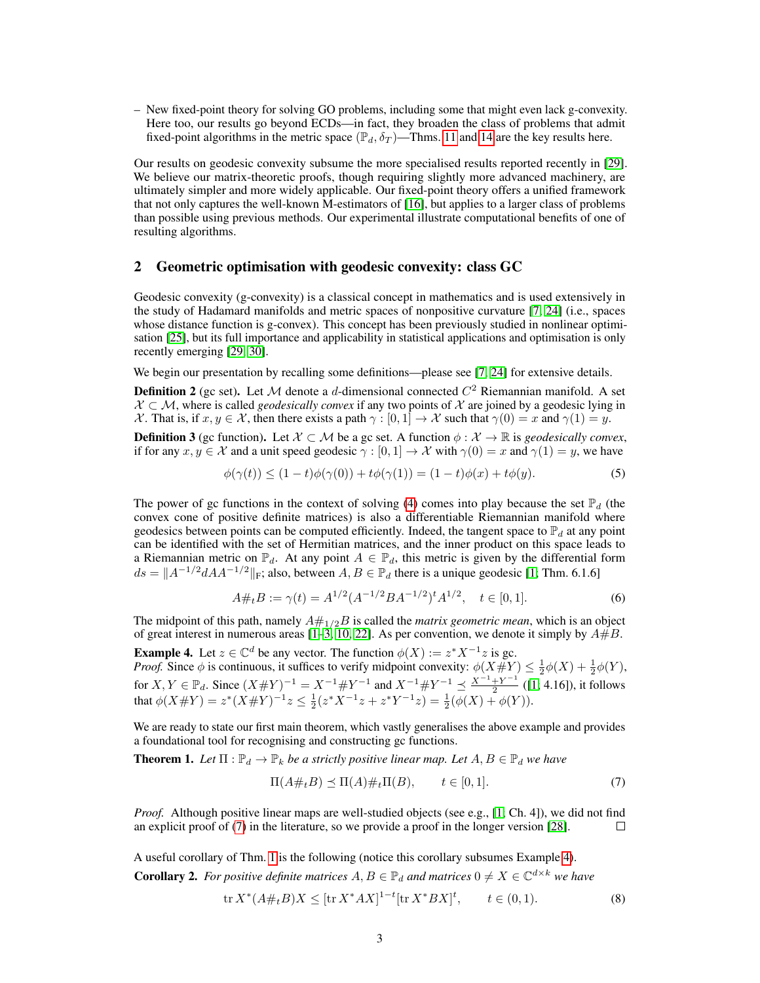– New fixed-point theory for solving GO problems, including some that might even lack g-convexity. Here too, our results go beyond ECDs—in fact, they broaden the class of problems that admit fixed-point algorithms in the metric space ( $\mathbb{P}_d$ ,  $\delta_T$ )—Thms. 11 and 14 are the key results here.

Our results on geodesic convexity subsume the more specialised results reported recently in [29]. We believe our matrix-theoretic proofs, though requiring slightly more advanced machinery, are ultimately simpler and more widely applicable. Our fixed-point theory offers a unified framework that not only captures the well-known M-estimators of [16], but applies to a larger class of problems than possible using previous methods. Our experimental illustrate computational benefits of one of resulting algorithms.

## 2 Geometric optimisation with geodesic convexity: class GC

Geodesic convexity (g-convexity) is a classical concept in mathematics and is used extensively in the study of Hadamard manifolds and metric spaces of nonpositive curvature [7, 24] (i.e., spaces whose distance function is g-convex). This concept has been previously studied in nonlinear optimisation [25], but its full importance and applicability in statistical applications and optimisation is only recently emerging [29, 30].

We begin our presentation by recalling some definitions—please see [7, 24] for extensive details.

**Definition 2** (gc set). Let M denote a d-dimensional connected  $C^2$  Riemannian manifold. A set  $X \subset M$ , where is called *geodesically convex* if any two points of X are joined by a geodesic lying in X. That is, if  $x, y \in \mathcal{X}$ , then there exists a path  $\gamma : [0, 1] \to \mathcal{X}$  such that  $\gamma(0) = x$  and  $\gamma(1) = y$ .

**Definition 3** (gc function). Let  $X \subset M$  be a gc set. A function  $\phi : \mathcal{X} \to \mathbb{R}$  is *geodesically convex*, if for any  $x, y \in \mathcal{X}$  and a unit speed geodesic  $\gamma : [0, 1] \to \mathcal{X}$  with  $\gamma(0) = x$  and  $\gamma(1) = y$ , we have

$$
\phi(\gamma(t)) \le (1-t)\phi(\gamma(0)) + t\phi(\gamma(1)) = (1-t)\phi(x) + t\phi(y). \tag{5}
$$

The power of gc functions in the context of solving (4) comes into play because the set  $\mathbb{P}_d$  (the convex cone of positive definite matrices) is also a differentiable Riemannian manifold where geodesics between points can be computed efficiently. Indeed, the tangent space to  $\mathbb{P}_d$  at any point can be identified with the set of Hermitian matrices, and the inner product on this space leads to a Riemannian metric on  $\mathbb{P}_d$ . At any point  $A \in \mathbb{P}_d$ , this metric is given by the differential form  $ds = ||A^{-1/2}dA^{-1/2}||_F$ ; also, between  $A, B \in \mathbb{P}_d$  there is a unique geodesic [1; Thm. 6.1.6]

$$
A \#_t B := \gamma(t) = A^{1/2} (A^{-1/2} B A^{-1/2})^t A^{1/2}, \quad t \in [0, 1]. \tag{6}
$$

The midpoint of this path, namely  $A#_{1/2}B$  is called the *matrix geometric mean*, which is an object of great interest in numerous areas [1–3, 10, 22]. As per convention, we denote it simply by  $A\#B$ .

**Example 4.** Let  $z \in \mathbb{C}^d$  be any vector. The function  $\phi(X) := z^* X^{-1} z$  is gc. *Proof.* Since  $\phi$  is continuous, it suffices to verify midpoint convexity:  $\phi(X \# Y) \leq \frac{1}{2}\phi(X) + \frac{1}{2}\phi(Y)$ , Frog. Since  $\varphi$  is commons, it surfies to verify imagionic convexity.  $\varphi(X \# Y) \leq 2\varphi(X) + 2$ <br>for  $X, Y \in \mathbb{P}_d$ . Since  $(X \# Y)^{-1} = X^{-1} \# Y^{-1}$  and  $X^{-1} \# Y^{-1} \leq \frac{X^{-1} + Y^{-1}}{2}$  ([1; 4.16]), it for  $\frac{+Y}{2}$  ([1; 4.16]), it follows that  $\phi(X \# Y) = z^*(X \# Y)^{-1} z \leq \frac{1}{2} (z^* X^{-1} z + z^* Y^{-1} z) = \frac{1}{2} (\phi(X) + \phi(Y)).$ 

We are ready to state our first main theorem, which vastly generalises the above example and provides a foundational tool for recognising and constructing gc functions.

**Theorem 1.** Let  $\Pi$  :  $\mathbb{P}_d \to \mathbb{P}_k$  be a strictly positive linear map. Let  $A, B \in \mathbb{P}_d$  we have

$$
\Pi(A\#_t B) \preceq \Pi(A)\#_t \Pi(B), \qquad t \in [0,1]. \tag{7}
$$

*Proof.* Although positive linear maps are well-studied objects (see e.g., [1; Ch. 4]), we did not find an explicit proof of (7) in the literature, so we provide a proof in the longer version [28]. П

A useful corollary of Thm. 1 is the following (notice this corollary subsumes Example 4). **Corollary 2.** For positive definite matrices  $A, B \in \mathbb{P}_d$  and matrices  $0 \neq X \in \mathbb{C}^{d \times k}$  we have

$$
\text{tr}\, X^*(A\#_t B)X \leq [\text{tr}\, X^*AX]^{1-t}[\text{tr}\, X^*BX]^t, \qquad t \in (0,1). \tag{8}
$$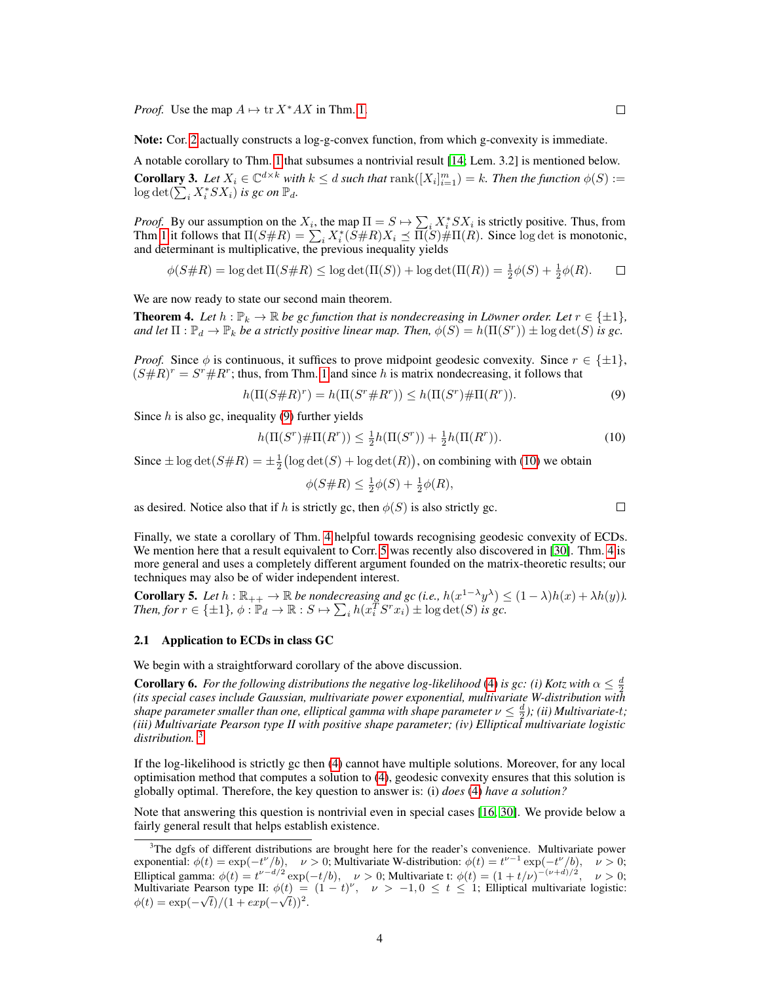*Proof.* Use the map  $A \mapsto \text{tr } X^* A X$  in Thm. 1.

Note: Cor. 2 actually constructs a log-g-convex function, from which g-convexity is immediate.

A notable corollary to Thm. 1 that subsumes a nontrivial result [14; Lem. 3.2] is mentioned below. **Corollary 3.** Let  $X_i \in \mathbb{C}^{d \times k}$  with  $k \leq d$  such that  $\text{rank}([X_i]_{i=1}^m) = k$ . Then the function  $\phi(S) :=$  $\log \det(\sum_{i} X_{i}^{*} S X_{i})$  *is gc on*  $\mathbb{P}_{d}$ *.* 

*Proof.* By our assumption on the  $X_i$ , the map  $\Pi = S \mapsto \sum_i X_i^* SX_i$  is strictly positive. Thus, from Thm 1 it follows that  $\Pi(S \# R) = \sum_i X_i^*(\overline{S} \# R) X_i \preceq \overline{\Pi(S)} \# \Pi(R)$ . Since log det is monotonic, and determinant is multiplicative, the previous inequality yields

$$
\phi(S\#R) = \log \det \Pi(S\#R) \le \log \det(\Pi(S)) + \log \det(\Pi(R)) = \frac{1}{2}\phi(S) + \frac{1}{2}\phi(R). \qquad \Box
$$

We are now ready to state our second main theorem.

**Theorem 4.** Let  $h : \mathbb{P}_k \to \mathbb{R}$  be gc function that is nondecreasing in Löwner order. Let  $r \in \{\pm 1\}$ , and let  $\Pi: \mathbb{P}_d \to \mathbb{P}_k$  be a strictly positive linear map. Then,  $\phi(S) = h(\Pi(S^r)) \pm \log \det(S)$  is gc.

*Proof.* Since  $\phi$  is continuous, it suffices to prove midpoint geodesic convexity. Since  $r \in \{\pm 1\}$ ,  $(S \# R)^r = S^r \# R^r$ ; thus, from Thm. 1 and since h is matrix nondecreasing, it follows that

$$
h(\Pi(S \# R)^r) = h(\Pi(S^r \# R^r)) \le h(\Pi(S^r) \# \Pi(R^r)).
$$
\n(9)

Since  $h$  is also gc, inequality (9) further yields

$$
h(\Pi(S^r)\#\Pi(R^r)) \le \frac{1}{2}h(\Pi(S^r)) + \frac{1}{2}h(\Pi(R^r)).
$$
\n(10)

Since  $\pm \log \det(S \# R) = \pm \frac{1}{2} (\log \det(S) + \log \det(R))$ , on combining with (10) we obtain

$$
\phi(S\#R) \le \frac{1}{2}\phi(S) + \frac{1}{2}\phi(R),
$$

as desired. Notice also that if h is strictly gc, then  $\phi(S)$  is also strictly gc.

Finally, we state a corollary of Thm. 4 helpful towards recognising geodesic convexity of ECDs. We mention here that a result equivalent to Corr. 5 was recently also discovered in [30]. Thm. 4 is more general and uses a completely different argument founded on the matrix-theoretic results; our techniques may also be of wider independent interest.

**Corollary 5.** Let  $h : \mathbb{R}_{++} \to \mathbb{R}$  be nondecreasing and gc (i.e.,  $h(x^{1-\lambda}y^{\lambda}) \leq (1-\lambda)h(x) + \lambda h(y)$ ). *Then, for*  $r \in \{\pm 1\}$ ,  $\phi : \mathbb{P}_d \to \mathbb{R} : S \mapsto \sum_i h(x_i^T S^r x_i) \pm \log \det(S)$  *is gc.* 

#### 2.1 Application to ECDs in class GC

We begin with a straightforward corollary of the above discussion.

**Corollary 6.** For the following distributions the negative log-likelihood (4) is gc: (i) Kotz with  $\alpha \leq \frac{d}{2}$ *(its special cases include Gaussian, multivariate power exponential, multivariate W-distribution with shape parameter smaller than one, elliptical gamma with shape parameter*  $\nu \leq \frac{d}{2}$ ); (ii) Multivariate-t; *(iii) Multivariate Pearson type II with positive shape parameter; (iv) Elliptical multivariate logistic distribution.* 3

If the log-likelihood is strictly gc then (4) cannot have multiple solutions. Moreover, for any local optimisation method that computes a solution to (4), geodesic convexity ensures that this solution is globally optimal. Therefore, the key question to answer is: (i) *does* (4) *have a solution?*

Note that answering this question is nontrivial even in special cases [16, 30]. We provide below a fairly general result that helps establish existence.

 $\Box$ 

<sup>&</sup>lt;sup>3</sup>The dgfs of different distributions are brought here for the reader's convenience. Multivariate power exponential:  $\phi(t) = \exp(-t^{\nu}/b)$ ,  $\nu > 0$ ; Multivariate W-distribution:  $\phi(t) = t^{\nu-1} \exp(-t^{\nu}/b)$ ,  $\nu > 0$ ; Elliptical gamma:  $\phi(t) = t^{\nu - d/2} \exp(-t/b), \quad \nu > 0$ ; Multivariate t:  $\phi(t) = (1 + t/\nu)^{-(\nu + d)/2}, \quad \nu > 0$ ; Multivariate Pearson type II:  $\phi(t) = (1-t)^{\nu}$ ,  $\nu > -1, 0 \le t \le 1$ ; Elliptical multivariate logistic:  $\phi(t) = \exp(-\sqrt{t})/(1 + exp(-\sqrt{t}))^2$ .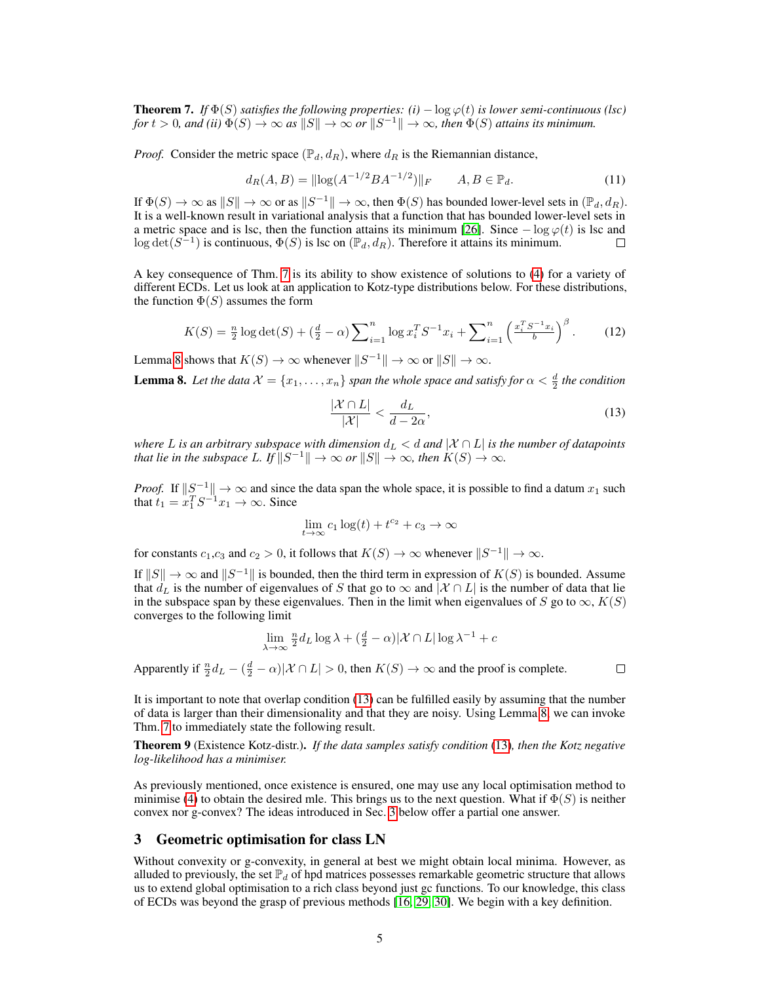**Theorem 7.** *If*  $\Phi(S)$  *satisfies the following properties:*  $(i) - \log \varphi(t)$  *is lower semi-continuous (lsc)*  $f \circ t > 0$ , and (ii)  $\Phi(S) \to \infty$  as  $\|S\| \to \infty$  or  $\|S^{-1}\| \to \infty$ , then  $\Phi(S)$  attains its minimum.

*Proof.* Consider the metric space  $(\mathbb{P}_d, d_R)$ , where  $d_R$  is the Riemannian distance,

$$
d_R(A, B) = ||\log(A^{-1/2}BA^{-1/2})||_F \qquad A, B \in \mathbb{P}_d. \tag{11}
$$

If  $\Phi(S) \to \infty$  as  $||S|| \to \infty$  or as  $||S^{-1}|| \to \infty$ , then  $\Phi(S)$  has bounded lower-level sets in  $(\mathbb{P}_d, d_R)$ . It is a well-known result in variational analysis that a function that has bounded lower-level sets in a metric space and is lsc, then the function attains its minimum [26]. Since  $-\log \varphi(t)$  is lsc and  $\log \det(S^{-1})$  is continuous,  $\Phi(S)$  is lsc on  $(\mathbb{P}_d, d_R)$ . Therefore it attains its minimum.  $\Box$ 

A key consequence of Thm. 7 is its ability to show existence of solutions to (4) for a variety of different ECDs. Let us look at an application to Kotz-type distributions below. For these distributions, the function  $\Phi(S)$  assumes the form

$$
K(S) = \frac{n}{2} \log \det(S) + (\frac{d}{2} - \alpha) \sum_{i=1}^{n} \log x_i^T S^{-1} x_i + \sum_{i=1}^{n} \left( \frac{x_i^T S^{-1} x_i}{b} \right)^{\beta}.
$$
 (12)

Lemma 8 shows that  $K(S) \to \infty$  whenever  $||S^{-1}|| \to \infty$  or  $||S|| \to \infty$ .

**Lemma 8.** Let the data  $\mathcal{X} = \{x_1, \ldots, x_n\}$  span the whole space and satisfy for  $\alpha < \frac{d}{2}$  the condition

$$
\frac{|\mathcal{X} \cap L|}{|\mathcal{X}|} < \frac{d_L}{d - 2\alpha},\tag{13}
$$

*where* L *is an arbitrary subspace with dimension*  $d_L < d$  *and*  $|X \cap L|$  *is the number of datapoints that lie in the subspace* L. If  $||S^{-1}|| \to \infty$  *or*  $||S|| \to \infty$ *, then*  $K(S) \to \infty$ *.* 

*Proof.* If  $||S^{-1}|| \to \infty$  and since the data span the whole space, it is possible to find a datum  $x_1$  such that  $t_1 = x_1^T S^{-1} x_1 \rightarrow \infty$ . Since

$$
\lim_{t\to\infty}c_1\log(t)+t^{c_2}+c_3\to\infty
$$

for constants  $c_1, c_3$  and  $c_2 > 0$ , it follows that  $K(S) \to \infty$  whenever  $||S^{-1}|| \to \infty$ .

If  $||S|| \to \infty$  and  $||S^{-1}||$  is bounded, then the third term in expression of  $K(S)$  is bounded. Assume that  $d_L$  is the number of eigenvalues of S that go to  $\infty$  and  $|\mathcal{X} \cap L|$  is the number of data that lie in the subspace span by these eigenvalues. Then in the limit when eigenvalues of S go to  $\infty$ ,  $K(S)$ converges to the following limit

$$
\lim_{\lambda \to \infty} \frac{n}{2} d_L \log \lambda + (\frac{d}{2} - \alpha) |\mathcal{X} \cap L| \log \lambda^{-1} + c
$$

Apparently if  $\frac{n}{2}d_L - (\frac{d}{2} - \alpha)|\mathcal{X} \cap L| > 0$ , then  $K(S) \to \infty$  and the proof is complete.

 $\Box$ 

It is important to note that overlap condition (13) can be fulfilled easily by assuming that the number of data is larger than their dimensionality and that they are noisy. Using Lemma 8, we can invoke Thm. 7 to immediately state the following result.

Theorem 9 (Existence Kotz-distr.). *If the data samples satisfy condition* (13)*, then the Kotz negative log-likelihood has a minimiser.*

As previously mentioned, once existence is ensured, one may use any local optimisation method to minimise (4) to obtain the desired mle. This brings us to the next question. What if  $\Phi(S)$  is neither convex nor g-convex? The ideas introduced in Sec. 3 below offer a partial one answer.

#### 3 Geometric optimisation for class LN

Without convexity or g-convexity, in general at best we might obtain local minima. However, as alluded to previously, the set  $\mathbb{P}_d$  of hpd matrices possesses remarkable geometric structure that allows us to extend global optimisation to a rich class beyond just gc functions. To our knowledge, this class of ECDs was beyond the grasp of previous methods [16, 29, 30]. We begin with a key definition.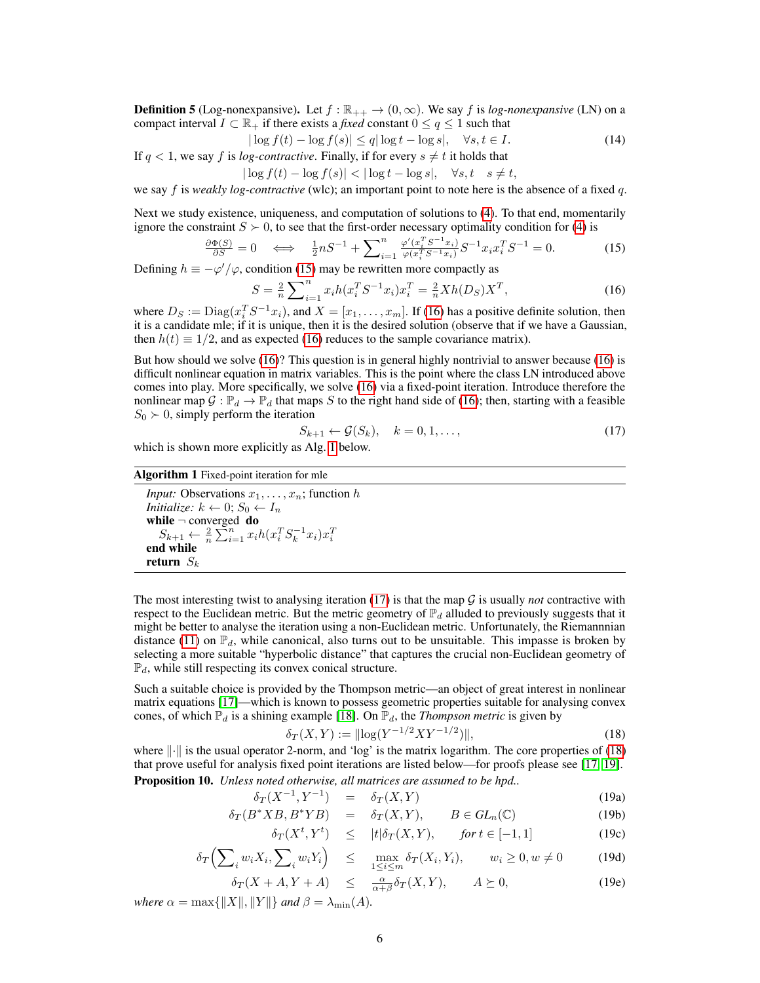**Definition 5** (Log-nonexpansive). Let  $f : \mathbb{R}_{++} \to (0, \infty)$ . We say f is *log-nonexpansive* (LN) on a compact interval  $I \subset \mathbb{R}_+$  if there exists a *fixed* constant  $0 \le q \le 1$  such that

$$
|\log f(t) - \log f(s)| \le q|\log t - \log s|, \quad \forall s, t \in I. \tag{14}
$$

If  $q < 1$ , we say f is *log-contractive*. Finally, if for every  $s \neq t$  it holds that

$$
|\log f(t) - \log f(s)| < |\log t - \log s|, \quad \forall s, t \quad s \neq t,
$$

we say f is *weakly log-contractive* (wlc); an important point to note here is the absence of a fixed q.

Next we study existence, uniqueness, and computation of solutions to (4). To that end, momentarily ignore the constraint  $S \succ 0$ , to see that the first-order necessary optimality condition for (4) is

$$
\frac{\partial \Phi(S)}{\partial S} = 0 \quad \Longleftrightarrow \quad \frac{1}{2} n S^{-1} + \sum_{i=1}^{n} \frac{\varphi'(x_i^T S^{-1} x_i)}{\varphi(x_i^T S^{-1} x_i)} S^{-1} x_i x_i^T S^{-1} = 0. \tag{15}
$$

Defining  $h \equiv -\varphi'/\varphi$ , condition (15) may be rewritten more compactly as

$$
S = \frac{2}{n} \sum_{i=1}^{n} x_i h(x_i^T S^{-1} x_i) x_i^T = \frac{2}{n} X h(D_S) X^T,
$$
\n(16)

where  $D_S := \text{Diag}(x_i^T S^{-1} x_i)$ , and  $X = [x_1, \dots, x_m]$ . If (16) has a positive definite solution, then it is a candidate mle; if it is unique, then it is the desired solution (observe that if we have a Gaussian, then  $h(t) \equiv 1/2$ , and as expected (16) reduces to the sample covariance matrix).

But how should we solve (16)? This question is in general highly nontrivial to answer because (16) is difficult nonlinear equation in matrix variables. This is the point where the class LN introduced above comes into play. More specifically, we solve (16) via a fixed-point iteration. Introduce therefore the nonlinear map  $\mathcal{G} : \mathbb{P}_d \to \mathbb{P}_d$  that maps S to the right hand side of (16); then, starting with a feasible  $S_0 \succ 0$ , simply perform the iteration

$$
S_{k+1} \leftarrow \mathcal{G}(S_k), \quad k = 0, 1, \dots,
$$
\n<sup>(17)</sup>

which is shown more explicitly as Alg. 1 below.

#### Algorithm 1 Fixed-point iteration for mle

*Input:* Observations  $x_1, \ldots, x_n$ ; function h *Initialize:*  $k \leftarrow 0$ ;  $S_0 \leftarrow I_n$ while  $\neg$  converged do  $S_{k+1} \leftarrow \frac{2}{n} \sum_{i=1}^{n} x_i h(x_i^T S_k^{-1} x_i) x_i^T$ end while return  $S_k$ 

The most interesting twist to analysing iteration  $(17)$  is that the map  $\mathcal G$  is usually *not* contractive with respect to the Euclidean metric. But the metric geometry of  $\mathbb{P}_d$  alluded to previously suggests that it might be better to analyse the iteration using a non-Euclidean metric. Unfortunately, the Riemannnian distance (11) on  $\mathbb{P}_d$ , while canonical, also turns out to be unsuitable. This impasse is broken by selecting a more suitable "hyperbolic distance" that captures the crucial non-Euclidean geometry of  $\mathbb{P}_d$ , while still respecting its convex conical structure.

Such a suitable choice is provided by the Thompson metric—an object of great interest in nonlinear matrix equations [17]—which is known to possess geometric properties suitable for analysing convex cones, of which  $\mathbb{P}_d$  is a shining example [18]. On  $\mathbb{P}_d$ , the *Thompson metric* is given by

$$
\delta_T(X, Y) := ||\log(Y^{-1/2}XY^{-1/2})||,\tag{18}
$$

where  $\lVert \cdot \rVert$  is the usual operator 2-norm, and 'log' is the matrix logarithm. The core properties of (18) that prove useful for analysis fixed point iterations are listed below—for proofs please see [17, 19]. Proposition 10. *Unless noted otherwise, all matrices are assumed to be hpd..*

$$
\delta_T(X^{-1}, Y^{-1}) = \delta_T(X, Y) \tag{19a}
$$

$$
\delta_T(B^*XB, B^*YB) = \delta_T(X, Y), \qquad B \in GL_n(\mathbb{C}) \tag{19b}
$$

$$
\delta_T(X^t, Y^t) \le |t|\delta_T(X, Y), \quad \text{for } t \in [-1, 1] \tag{19c}
$$

$$
\delta_T\Big(\sum_i w_i X_i, \sum_i w_i Y_i\Big) \leq \max_{1 \leq i \leq m} \delta_T(X_i, Y_i), \qquad w_i \geq 0, w \neq 0 \tag{19d}
$$

$$
\delta_T(X + A, Y + A) \le \frac{\alpha}{\alpha + \beta} \delta_T(X, Y), \qquad A \succeq 0,
$$
\n(19e)

*where*  $\alpha = \max\{||X||, ||Y||\}$  *and*  $\beta = \lambda_{\min}(A)$ *.*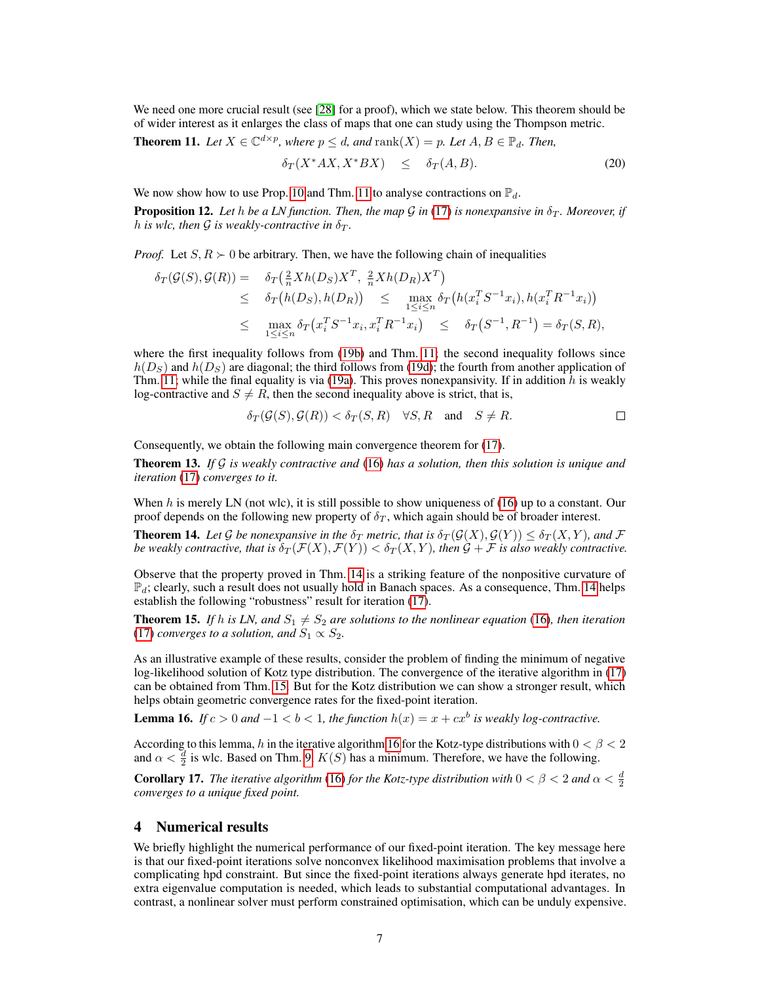We need one more crucial result (see [28] for a proof), which we state below. This theorem should be of wider interest as it enlarges the class of maps that one can study using the Thompson metric.

**Theorem 11.** Let  $X \in \mathbb{C}^{d \times p}$ , where  $p \leq d$ , and  $\text{rank}(X) = p$ . Let  $A, B \in \mathbb{P}_d$ . Then,

$$
\delta_T(X^* A X, X^* B X) \leq \delta_T(A, B). \tag{20}
$$

We now show how to use Prop. 10 and Thm. 11 to analyse contractions on  $\mathbb{P}_d$ .

**Proposition 12.** Let h be a LN function. Then, the map G in (17) is nonexpansive in  $\delta_T$ . Moreover, if *h* is wlc, then G is weakly-contractive in  $\delta_T$ .

*Proof.* Let  $S, R \succ 0$  be arbitrary. Then, we have the following chain of inequalities

$$
\delta_T(\mathcal{G}(S), \mathcal{G}(R)) = \delta_T(\frac{2}{n}Xh(D_S)X^T, \frac{2}{n}Xh(D_R)X^T)
$$
  
\n
$$
\leq \delta_T(h(D_S), h(D_R)) \leq \max_{1 \leq i \leq n} \delta_T(h(x_i^T S^{-1} x_i), h(x_i^T R^{-1} x_i))
$$
  
\n
$$
\leq \max_{1 \leq i \leq n} \delta_T(x_i^T S^{-1} x_i, x_i^T R^{-1} x_i) \leq \delta_T(S^{-1}, R^{-1}) = \delta_T(S, R),
$$

where the first inequality follows from (19b) and Thm. 11; the second inequality follows since  $h(D<sub>S</sub>)$  and  $h(D<sub>S</sub>)$  are diagonal; the third follows from (19d); the fourth from another application of Thm. 11; while the final equality is via (19a). This proves nonexpansivity. If in addition  $h$  is weakly log-contractive and  $S \neq R$ , then the second inequality above is strict, that is,

$$
\delta_T(\mathcal{G}(S), \mathcal{G}(R)) < \delta_T(S, R) \quad \forall S, R \quad \text{and} \quad S \neq R.
$$

Consequently, we obtain the following main convergence theorem for (17).

Theorem 13. *If* G *is weakly contractive and* (16) *has a solution, then this solution is unique and iteration* (17) *converges to it.*

When h is merely LN (not wlc), it is still possible to show uniqueness of  $(16)$  up to a constant. Our proof depends on the following new property of  $\delta_T$ , which again should be of broader interest.

**Theorem 14.** Let G be nonexpansive in the  $\delta_T$  metric, that is  $\delta_T(\mathcal{G}(X), \mathcal{G}(Y)) \leq \delta_T(X, Y)$ , and F *be weakly contractive, that is*  $\delta_T(\mathcal{F}(X), \mathcal{F}(Y)) < \delta_T(X, Y)$ , then  $\mathcal{G} + \mathcal{F}$  *is also weakly contractive.* 

Observe that the property proved in Thm. 14 is a striking feature of the nonpositive curvature of  $\mathbb{P}_d$ ; clearly, such a result does not usually hold in Banach spaces. As a consequence, Thm. 14 helps establish the following "robustness" result for iteration (17).

**Theorem 15.** If h is LN, and  $S_1 \neq S_2$  are solutions to the nonlinear equation (16), then iteration (17) *converges to a solution, and*  $S_1 \propto S_2$ *.* 

As an illustrative example of these results, consider the problem of finding the minimum of negative log-likelihood solution of Kotz type distribution. The convergence of the iterative algorithm in (17) can be obtained from Thm. 15. But for the Kotz distribution we can show a stronger result, which helps obtain geometric convergence rates for the fixed-point iteration.

**Lemma 16.** *If*  $c > 0$  *and*  $-1 < b < 1$ , *the function*  $h(x) = x + cx^b$  *is weakly log-contractive.* 

According to this lemma, h in the iterative algorithm 16 for the Kotz-type distributions with  $0 < \beta < 2$ and  $\alpha < \frac{d}{2}$  is wlc. Based on Thm. 9,  $K(S)$  has a minimum. Therefore, we have the following.

**Corollary 17.** *The iterative algorithm* (16) *for the Kotz-type distribution with*  $0 < \beta < 2$  *and*  $\alpha < \frac{d}{2}$ *converges to a unique fixed point.*

## 4 Numerical results

We briefly highlight the numerical performance of our fixed-point iteration. The key message here is that our fixed-point iterations solve nonconvex likelihood maximisation problems that involve a complicating hpd constraint. But since the fixed-point iterations always generate hpd iterates, no extra eigenvalue computation is needed, which leads to substantial computational advantages. In contrast, a nonlinear solver must perform constrained optimisation, which can be unduly expensive.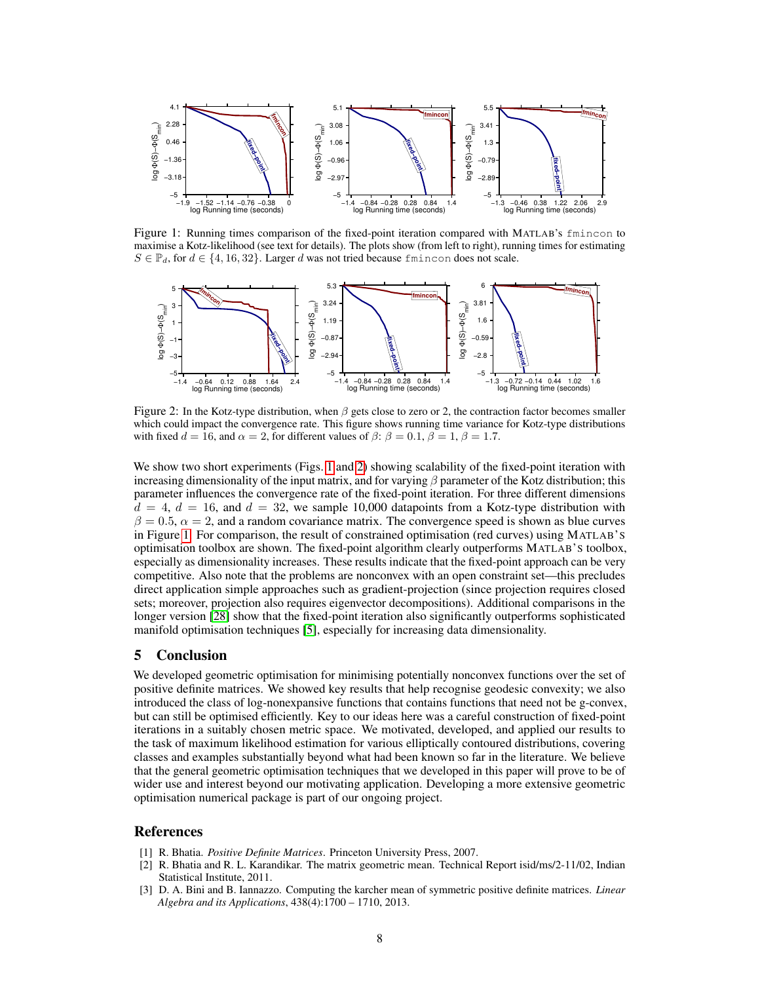

Figure 1: Running times comparison of the fixed-point iteration compared with MATLAB's fmincon to maximise a Kotz-likelihood (see text for details). The plots show (from left to right), running times for estimating  $S \in \mathbb{P}_d$ , for  $d \in \{4, 16, 32\}$ . Larger d was not tried because finincon does not scale.



Figure 2: In the Kotz-type distribution, when  $\beta$  gets close to zero or 2, the contraction factor becomes smaller which could impact the convergence rate. This figure shows running time variance for Kotz-type distributions with fixed  $d = 16$ , and  $\alpha = 2$ , for different values of  $\beta$ :  $\beta = 0.1$ ,  $\beta = 1$ ,  $\beta = 1.7$ .

We show two short experiments (Figs. 1 and 2) showing scalability of the fixed-point iteration with increasing dimensionality of the input matrix, and for varying  $\beta$  parameter of the Kotz distribution; this parameter influences the convergence rate of the fixed-point iteration. For three different dimensions  $d = 4, d = 16$ , and  $d = 32$ , we sample 10,000 datapoints from a Kotz-type distribution with  $\beta = 0.5$ ,  $\alpha = 2$ , and a random covariance matrix. The convergence speed is shown as blue curves in Figure 1. For comparison, the result of constrained optimisation (red curves) using MATLAB'S optimisation toolbox are shown. The fixed-point algorithm clearly outperforms MATLAB'S toolbox, especially as dimensionality increases. These results indicate that the fixed-point approach can be very competitive. Also note that the problems are nonconvex with an open constraint set—this precludes direct application simple approaches such as gradient-projection (since projection requires closed sets; moreover, projection also requires eigenvector decompositions). Additional comparisons in the longer version [28] show that the fixed-point iteration also significantly outperforms sophisticated manifold optimisation techniques [5], especially for increasing data dimensionality.

#### 5 Conclusion

We developed geometric optimisation for minimising potentially nonconvex functions over the set of positive definite matrices. We showed key results that help recognise geodesic convexity; we also introduced the class of log-nonexpansive functions that contains functions that need not be g-convex, but can still be optimised efficiently. Key to our ideas here was a careful construction of fixed-point iterations in a suitably chosen metric space. We motivated, developed, and applied our results to the task of maximum likelihood estimation for various elliptically contoured distributions, covering classes and examples substantially beyond what had been known so far in the literature. We believe that the general geometric optimisation techniques that we developed in this paper will prove to be of wider use and interest beyond our motivating application. Developing a more extensive geometric optimisation numerical package is part of our ongoing project.

#### References

- [1] R. Bhatia. *Positive Definite Matrices*. Princeton University Press, 2007.
- [2] R. Bhatia and R. L. Karandikar. The matrix geometric mean. Technical Report isid/ms/2-11/02, Indian Statistical Institute, 2011.
- [3] D. A. Bini and B. Iannazzo. Computing the karcher mean of symmetric positive definite matrices. *Linear Algebra and its Applications*, 438(4):1700 – 1710, 2013.